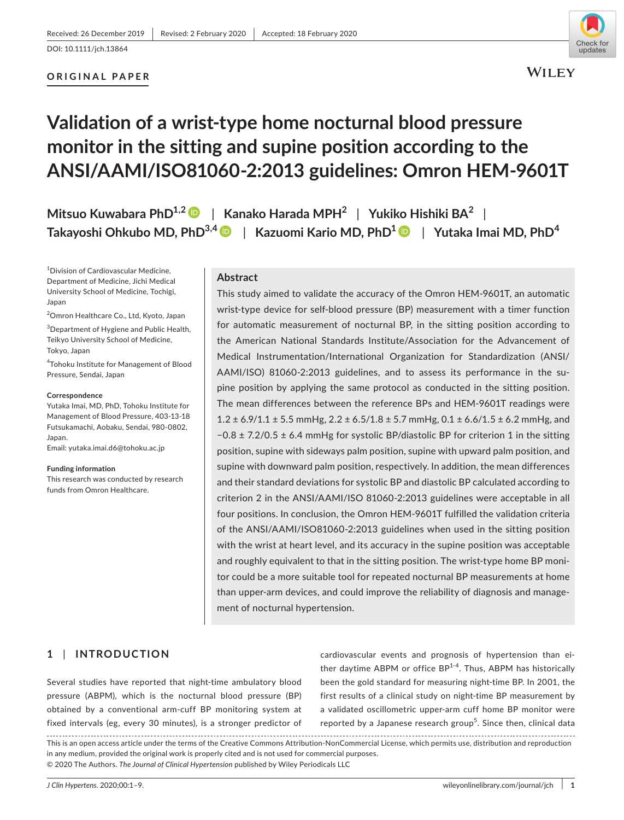### **ORIGINAL PAPER**



# **Validation of a wrist-type home nocturnal blood pressure monitor in the sitting and supine position according to the ANSI/AAMI/ISO81060-2:2013 guidelines: Omron HEM-9601T**

**Mitsuo Kuwabara PhD1,2** | **Kanako Harada MPH2** | **Yukiko Hishiki BA<sup>2</sup>** | **Takayoshi Ohkubo MD, PhD3,4** | **Kazuomi Kario MD, PhD[1](https://orcid.org/0000-0002-8251-4480)** | **Yutaka Imai MD, PhD<sup>4</sup>**

1 Division of Cardiovascular Medicine, Department of Medicine, Jichi Medical University School of Medicine, Tochigi, Japan

2 Omron Healthcare Co., Ltd, Kyoto, Japan

 $3$ Department of Hygiene and Public Health, Teikyo University School of Medicine, Tokyo, Japan

4 Tohoku Institute for Management of Blood Pressure, Sendai, Japan

#### **Correspondence**

Yutaka Imai, MD, PhD, Tohoku Institute for Management of Blood Pressure, 403-13-18 Futsukamachi, Aobaku, Sendai, 980-0802, Japan.

Email: [yutaka.imai.d6@tohoku.ac.jp](mailto:yutaka.imai.d6@tohoku.ac.jp)

**Funding information**

This research was conducted by research funds from Omron Healthcare.

#### **Abstract**

This study aimed to validate the accuracy of the Omron HEM-9601T, an automatic wrist-type device for self-blood pressure (BP) measurement with a timer function for automatic measurement of nocturnal BP, in the sitting position according to the American National Standards Institute/Association for the Advancement of Medical Instrumentation/International Organization for Standardization (ANSI/ AAMI/ISO) 81060-2:2013 guidelines, and to assess its performance in the supine position by applying the same protocol as conducted in the sitting position. The mean differences between the reference BPs and HEM-9601T readings were  $1.2 \pm 6.9/1.1 \pm 5.5$  mmHg,  $2.2 \pm 6.5/1.8 \pm 5.7$  mmHg,  $0.1 \pm 6.6/1.5 \pm 6.2$  mmHg, and −0.8 ± 7.2/0.5 ± 6.4 mmHg for systolic BP/diastolic BP for criterion 1 in the sitting position, supine with sideways palm position, supine with upward palm position, and supine with downward palm position, respectively. In addition, the mean differences and their standard deviations for systolic BP and diastolic BP calculated according to criterion 2 in the ANSI/AAMI/ISO 81060-2:2013 guidelines were acceptable in all four positions. In conclusion, the Omron HEM-9601T fulfilled the validation criteria of the ANSI/AAMI/ISO81060-2:2013 guidelines when used in the sitting position with the wrist at heart level, and its accuracy in the supine position was acceptable and roughly equivalent to that in the sitting position. The wrist-type home BP monitor could be a more suitable tool for repeated nocturnal BP measurements at home than upper-arm devices, and could improve the reliability of diagnosis and management of nocturnal hypertension.

# **1** | **INTRODUCTION**

Several studies have reported that night-time ambulatory blood pressure (ABPM), which is the nocturnal blood pressure (BP) obtained by a conventional arm-cuff BP monitoring system at fixed intervals (eg, every 30 minutes), is a stronger predictor of cardiovascular events and prognosis of hypertension than either daytime ABPM or office  $BP^{1-4}$ . Thus, ABPM has historically been the gold standard for measuring night-time BP. In 2001, the first results of a clinical study on night-time BP measurement by a validated oscillometric upper-arm cuff home BP monitor were reported by a Japanese research group<sup>5</sup>. Since then, clinical data

This is an open access article under the terms of the [Creative Commons Attribution-NonCommercial](http://creativecommons.org/licenses/by-nc/4.0/) License, which permits use, distribution and reproduction in any medium, provided the original work is properly cited and is not used for commercial purposes. © 2020 The Authors. *The Journal of Clinical Hypertension* published by Wiley Periodicals LLC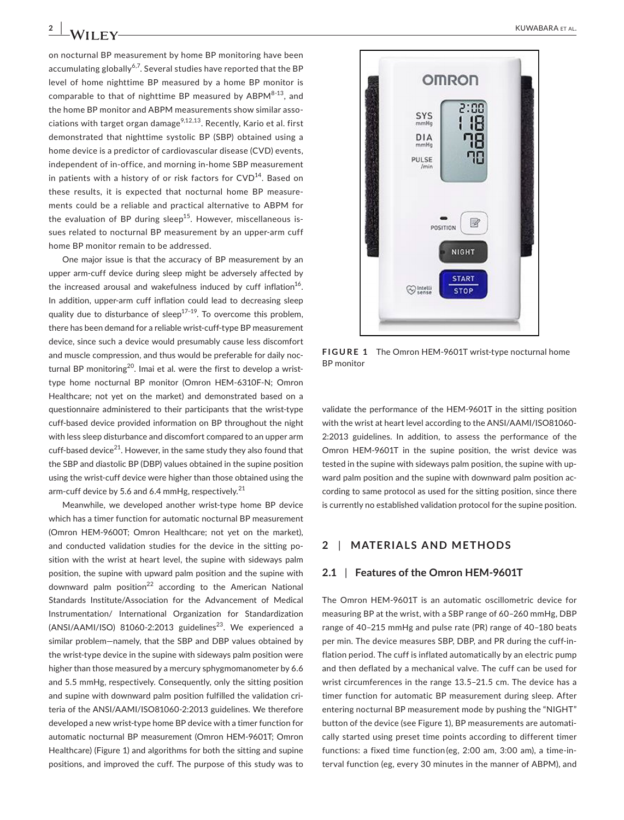on nocturnal BP measurement by home BP monitoring have been accumulating globally<sup>6,7</sup>. Several studies have reported that the BP level of home nighttime BP measured by a home BP monitor is comparable to that of nighttime BP measured by  $ABPM^{8-13}$ , and the home BP monitor and ABPM measurements show similar associations with target organ damage<sup>9,12,13</sup>. Recently, Kario et al. first demonstrated that nighttime systolic BP (SBP) obtained using a home device is a predictor of cardiovascular disease (CVD) events, independent of in-office, and morning in-home SBP measurement in patients with a history of or risk factors for  $CVD^{14}$ . Based on these results, it is expected that nocturnal home BP measurements could be a reliable and practical alternative to ABPM for the evaluation of BP during sleep<sup>15</sup>. However, miscellaneous issues related to nocturnal BP measurement by an upper-arm cuff home BP monitor remain to be addressed.

One major issue is that the accuracy of BP measurement by an upper arm-cuff device during sleep might be adversely affected by the increased arousal and wakefulness induced by cuff inflation<sup>16</sup>. In addition, upper-arm cuff inflation could lead to decreasing sleep quality due to disturbance of sleep<sup>17-19</sup>. To overcome this problem, there has been demand for a reliable wrist-cuff-type BP measurement device, since such a device would presumably cause less discomfort and muscle compression, and thus would be preferable for daily nocturnal BP monitoring<sup>20</sup>. Imai et al. were the first to develop a wristtype home nocturnal BP monitor (Omron HEM-6310F-N; Omron Healthcare; not yet on the market) and demonstrated based on a questionnaire administered to their participants that the wrist-type cuff-based device provided information on BP throughout the night with less sleep disturbance and discomfort compared to an upper arm cuff-based device<sup>21</sup>. However, in the same study they also found that the SBP and diastolic BP (DBP) values obtained in the supine position using the wrist-cuff device were higher than those obtained using the arm-cuff device by 5.6 and 6.4 mmHg, respectively.<sup>21</sup>

Meanwhile, we developed another wrist-type home BP device which has a timer function for automatic nocturnal BP measurement (Omron HEM-9600T; Omron Healthcare; not yet on the market), and conducted validation studies for the device in the sitting position with the wrist at heart level, the supine with sideways palm position, the supine with upward palm position and the supine with downward palm position<sup>22</sup> according to the American National Standards Institute/Association for the Advancement of Medical Instrumentation/ International Organization for Standardization  $(ANSI/AAMI/ISO) 81060-2:2013$  guidelines<sup>23</sup>. We experienced a similar problem—namely, that the SBP and DBP values obtained by the wrist-type device in the supine with sideways palm position were higher than those measured by a mercury sphygmomanometer by 6.6 and 5.5 mmHg, respectively. Consequently, only the sitting position and supine with downward palm position fulfilled the validation criteria of the ANSI/AAMI/ISO81060-2:2013 guidelines. We therefore developed a new wrist-type home BP device with a timer function for automatic nocturnal BP measurement (Omron HEM-9601T; Omron Healthcare) (Figure 1) and algorithms for both the sitting and supine positions, and improved the cuff. The purpose of this study was to



**FIGURE 1** The Omron HEM-9601T wrist-type nocturnal home BP monitor

validate the performance of the HEM-9601T in the sitting position with the wrist at heart level according to the ANSI/AAMI/ISO81060- 2:2013 guidelines. In addition, to assess the performance of the Omron HEM-9601T in the supine position, the wrist device was tested in the supine with sideways palm position, the supine with upward palm position and the supine with downward palm position according to same protocol as used for the sitting position, since there is currently no established validation protocol for the supine position.

## **2** | **MATERIALS AND METHODS**

#### **2.1** | **Features of the Omron HEM-9601T**

The Omron HEM-9601T is an automatic oscillometric device for measuring BP at the wrist, with a SBP range of 60–260 mmHg, DBP range of 40–215 mmHg and pulse rate (PR) range of 40–180 beats per min. The device measures SBP, DBP, and PR during the cuff-inflation period. The cuff is inflated automatically by an electric pump and then deflated by a mechanical valve. The cuff can be used for wrist circumferences in the range 13.5–21.5 cm. The device has a timer function for automatic BP measurement during sleep. After entering nocturnal BP measurement mode by pushing the "NIGHT" button of the device (see Figure 1), BP measurements are automatically started using preset time points according to different timer functions: a fixed time function (eg, 2:00 am, 3:00 am), a time-interval function (eg, every 30 minutes in the manner of ABPM), and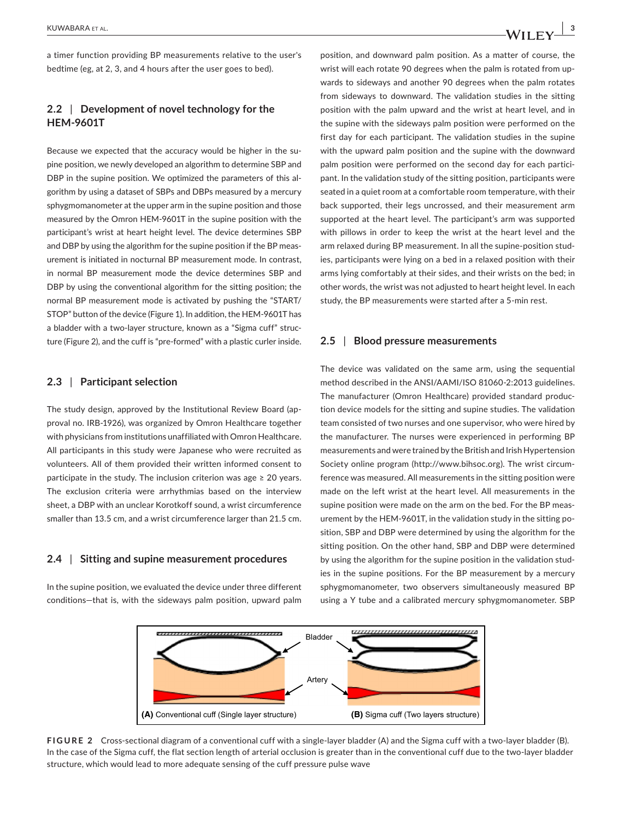a timer function providing BP measurements relative to the user's bedtime (eg, at 2, 3, and 4 hours after the user goes to bed).

# **2.2** | **Development of novel technology for the HEM-9601T**

Because we expected that the accuracy would be higher in the supine position, we newly developed an algorithm to determine SBP and DBP in the supine position. We optimized the parameters of this algorithm by using a dataset of SBPs and DBPs measured by a mercury sphygmomanometer at the upper arm in the supine position and those measured by the Omron HEM-9601T in the supine position with the participant's wrist at heart height level. The device determines SBP and DBP by using the algorithm for the supine position if the BP measurement is initiated in nocturnal BP measurement mode. In contrast, in normal BP measurement mode the device determines SBP and DBP by using the conventional algorithm for the sitting position; the normal BP measurement mode is activated by pushing the "START/ STOP" button of the device (Figure 1). In addition, the HEM-9601T has a bladder with a two-layer structure, known as a "Sigma cuff" structure (Figure 2), and the cuff is "pre-formed" with a plastic curler inside.

### **2.3** | **Participant selection**

The study design, approved by the Institutional Review Board (approval no. IRB-1926), was organized by Omron Healthcare together with physicians from institutions unaffiliated with Omron Healthcare. All participants in this study were Japanese who were recruited as volunteers. All of them provided their written informed consent to participate in the study. The inclusion criterion was age  $\geq 20$  years. The exclusion criteria were arrhythmias based on the interview sheet, a DBP with an unclear Korotkoff sound, a wrist circumference smaller than 13.5 cm, and a wrist circumference larger than 21.5 cm.

#### **2.4** | **Sitting and supine measurement procedures**

In the supine position, we evaluated the device under three different conditions—that is, with the sideways palm position, upward palm position, and downward palm position. As a matter of course, the wrist will each rotate 90 degrees when the palm is rotated from upwards to sideways and another 90 degrees when the palm rotates from sideways to downward. The validation studies in the sitting position with the palm upward and the wrist at heart level, and in the supine with the sideways palm position were performed on the first day for each participant. The validation studies in the supine with the upward palm position and the supine with the downward palm position were performed on the second day for each participant. In the validation study of the sitting position, participants were seated in a quiet room at a comfortable room temperature, with their back supported, their legs uncrossed, and their measurement arm supported at the heart level. The participant's arm was supported with pillows in order to keep the wrist at the heart level and the arm relaxed during BP measurement. In all the supine-position studies, participants were lying on a bed in a relaxed position with their arms lying comfortably at their sides, and their wrists on the bed; in other words, the wrist was not adjusted to heart height level. In each study, the BP measurements were started after a 5-min rest.

### **2.5** | **Blood pressure measurements**

The device was validated on the same arm, using the sequential method described in the ANSI/AAMI/ISO 81060-2:2013 guidelines. The manufacturer (Omron Healthcare) provided standard production device models for the sitting and supine studies. The validation team consisted of two nurses and one supervisor, who were hired by the manufacturer. The nurses were experienced in performing BP measurements and were trained by the British and Irish Hypertension Society online program [\(http://www.bihsoc.org\)](http://www.bihsoc.org). The wrist circumference was measured. All measurements in the sitting position were made on the left wrist at the heart level. All measurements in the supine position were made on the arm on the bed. For the BP measurement by the HEM-9601T, in the validation study in the sitting position, SBP and DBP were determined by using the algorithm for the sitting position. On the other hand, SBP and DBP were determined by using the algorithm for the supine position in the validation studies in the supine positions. For the BP measurement by a mercury sphygmomanometer, two observers simultaneously measured BP using a Y tube and a calibrated mercury sphygmomanometer. SBP



**FIGURE 2** Cross-sectional diagram of a conventional cuff with a single-layer bladder (A) and the Sigma cuff with a two-layer bladder (B). In the case of the Sigma cuff, the flat section length of arterial occlusion is greater than in the conventional cuff due to the two-layer bladder structure, which would lead to more adequate sensing of the cuff pressure pulse wave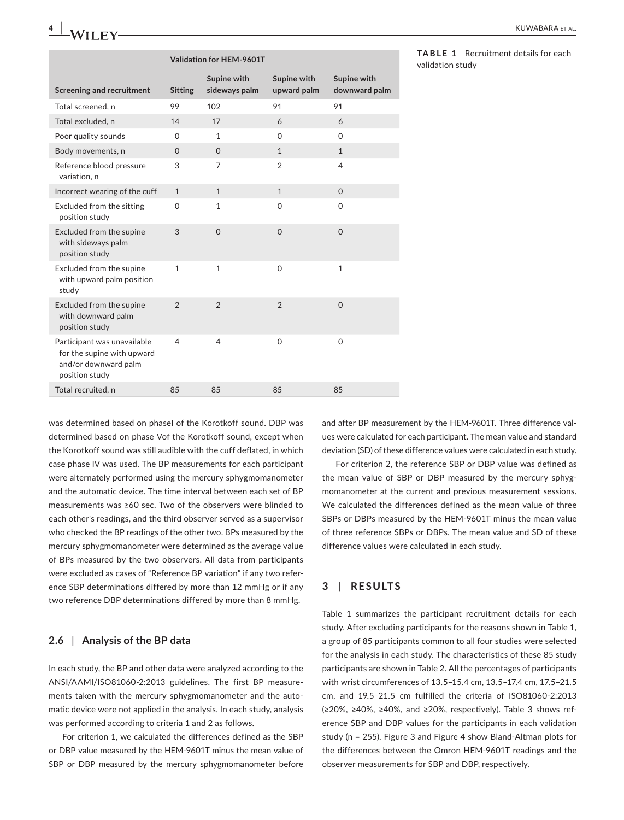|                                                                                                     | Validation for HEM-9601T |                              |                            |                              |  |
|-----------------------------------------------------------------------------------------------------|--------------------------|------------------------------|----------------------------|------------------------------|--|
| <b>Screening and recruitment</b>                                                                    | <b>Sitting</b>           | Supine with<br>sideways palm | Supine with<br>upward palm | Supine with<br>downward palm |  |
| Total screened, n                                                                                   | 99                       | 102                          | 91                         | 91                           |  |
| Total excluded, n                                                                                   | 14                       | 17                           | 6                          | 6                            |  |
| Poor quality sounds                                                                                 | 0                        | $\mathbf{1}$                 | $\Omega$                   | $\Omega$                     |  |
| Body movements, n                                                                                   | $\Omega$                 | $\Omega$                     | $\mathbf{1}$               | $\mathbf{1}$                 |  |
| Reference blood pressure<br>variation, n                                                            | 3                        | $\overline{7}$               | $\mathfrak{D}$             | $\overline{4}$               |  |
| Incorrect wearing of the cuff                                                                       | $\mathbf{1}$             | $\mathbf{1}$                 | $\mathbf{1}$               | $\Omega$                     |  |
| Excluded from the sitting<br>position study                                                         | $\Omega$                 | $\mathbf{1}$                 | $\Omega$                   | $\Omega$                     |  |
| Excluded from the supine<br>with sideways palm<br>position study                                    | 3                        | $\Omega$                     | $\Omega$                   | $\Omega$                     |  |
| Excluded from the supine<br>with upward palm position<br>study                                      | $\mathbf{1}$             | 1                            | $\Omega$                   | $\mathbf{1}$                 |  |
| Excluded from the supine<br>with downward palm<br>position study                                    | $\overline{2}$           | $\overline{2}$               | $\overline{2}$             | $\Omega$                     |  |
| Participant was unavailable<br>for the supine with upward<br>and/or downward palm<br>position study | 4                        | $\overline{4}$               | $\Omega$                   | $\Omega$                     |  |
| Total recruited, n                                                                                  | 85                       | 85                           | 85                         | 85                           |  |

**TABLE 1** Recruitment details for each validation study

was determined based on phasel of the Korotkoff sound. DBP was determined based on phase Ⅴof the Korotkoff sound, except when the Korotkoff sound was still audible with the cuff deflated, in which case phase Ⅳ was used. The BP measurements for each participant were alternately performed using the mercury sphygmomanometer and the automatic device. The time interval between each set of BP measurements was ≥60 sec. Two of the observers were blinded to each other's readings, and the third observer served as a supervisor who checked the BP readings of the other two. BPs measured by the mercury sphygmomanometer were determined as the average value of BPs measured by the two observers. All data from participants were excluded as cases of "Reference BP variation" if any two reference SBP determinations differed by more than 12 mmHg or if any two reference DBP determinations differed by more than 8 mmHg.

# **2.6** | **Analysis of the BP data**

In each study, the BP and other data were analyzed according to the ANSI/AAMI/ISO81060-2:2013 guidelines. The first BP measurements taken with the mercury sphygmomanometer and the automatic device were not applied in the analysis. In each study, analysis was performed according to criteria 1 and 2 as follows.

For criterion 1, we calculated the differences defined as the SBP or DBP value measured by the HEM-9601T minus the mean value of SBP or DBP measured by the mercury sphygmomanometer before and after BP measurement by the HEM-9601T. Three difference values were calculated for each participant. The mean value and standard deviation (SD) of these difference values were calculated in each study.

For criterion 2, the reference SBP or DBP value was defined as the mean value of SBP or DBP measured by the mercury sphygmomanometer at the current and previous measurement sessions. We calculated the differences defined as the mean value of three SBPs or DBPs measured by the HEM-9601T minus the mean value of three reference SBPs or DBPs. The mean value and SD of these difference values were calculated in each study.

# **3** | **RESULTS**

Table 1 summarizes the participant recruitment details for each study. After excluding participants for the reasons shown in Table 1, a group of 85 participants common to all four studies were selected for the analysis in each study. The characteristics of these 85 study participants are shown in Table 2. All the percentages of participants with wrist circumferences of 13.5–15.4 cm, 13.5–17.4 cm, 17.5–21.5 cm, and 19.5–21.5 cm fulfilled the criteria of ISO81060-2:2013 (≥20%, ≥40%, ≥40%, and ≥20%, respectively). Table 3 shows reference SBP and DBP values for the participants in each validation study (n = 255). Figure 3 and Figure 4 show Bland-Altman plots for the differences between the Omron HEM-9601T readings and the observer measurements for SBP and DBP, respectively.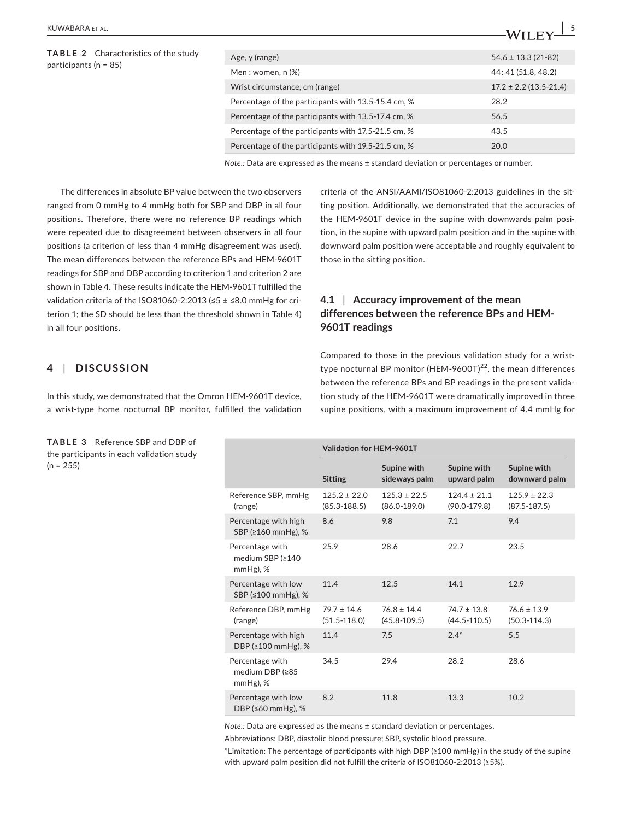| <b>TABLE 2</b> Characteristics of the study<br>participants ( $n = 85$ ) | Age, y (range)                                      | $54.6 \pm 13.3$ (21-82)    |
|--------------------------------------------------------------------------|-----------------------------------------------------|----------------------------|
|                                                                          | Men: women, n (%)                                   | 44: 41 (51.8, 48.2)        |
|                                                                          | Wrist circumstance, cm (range)                      | $17.2 \pm 2.2$ (13.5-21.4) |
|                                                                          | Percentage of the participants with 13.5-15.4 cm, % | 28.2                       |
|                                                                          | Percentage of the participants with 13.5-17.4 cm, % | 56.5                       |
|                                                                          | Percentage of the participants with 17.5-21.5 cm, % | 43.5                       |
|                                                                          | Percentage of the participants with 19.5-21.5 cm, % | 20.0                       |
|                                                                          |                                                     |                            |

*Note.:* Data are expressed as the means ± standard deviation or percentages or number.

The differences in absolute BP value between the two observers ranged from 0 mmHg to 4 mmHg both for SBP and DBP in all four positions. Therefore, there were no reference BP readings which were repeated due to disagreement between observers in all four positions (a criterion of less than 4 mmHg disagreement was used). The mean differences between the reference BPs and HEM-9601T readings for SBP and DBP according to criterion 1 and criterion 2 are shown in Table 4. These results indicate the HEM-9601T fulfilled the validation criteria of the ISO81060-2:2013 (≤5 ± ≤8.0 mmHg for criterion 1; the SD should be less than the threshold shown in Table 4) in all four positions.

# criteria of the ANSI/AAMI/ISO81060-2:2013 guidelines in the sitting position. Additionally, we demonstrated that the accuracies of the HEM-9601T device in the supine with downwards palm position, in the supine with upward palm position and in the supine with downward palm position were acceptable and roughly equivalent to those in the sitting position.

# **4.1** | **Accuracy improvement of the mean differences between the reference BPs and HEM-9601T readings**

# **4** | **DISCUSSION**

In this study, we demonstrated that the Omron HEM-9601T device, a wrist-type home nocturnal BP monitor, fulfilled the validation

**TABLE 3** Reference SBP and DBP of the participants in each validation study  $(n = 255)$ 

Compared to those in the previous validation study for a wristtype nocturnal BP monitor (HEM-9600T) $^{22}$ , the mean differences between the reference BPs and BP readings in the present validation study of the HEM-9601T were dramatically improved in three supine positions, with a maximum improvement of 4.4 mmHg for

|                                                    | Validation for HEM-9601T             |                                      |                                      |                                      |
|----------------------------------------------------|--------------------------------------|--------------------------------------|--------------------------------------|--------------------------------------|
|                                                    | <b>Sitting</b>                       | Supine with<br>sideways palm         | Supine with<br>upward palm           | Supine with<br>downward palm         |
| Reference SBP, mmHg<br>(range)                     | $125.2 \pm 22.0$<br>$(85.3 - 188.5)$ | $125.3 \pm 22.5$<br>$(86.0 - 189.0)$ | $124.4 \pm 21.1$<br>$(90.0 - 179.8)$ | $125.9 \pm 22.3$<br>$(87.5 - 187.5)$ |
| Percentage with high<br>SBP (≥160 mmHg), %         | 8.6                                  | 9.8                                  | 7.1                                  | 9.4                                  |
| Percentage with<br>medium SBP (≥140<br>$mmHg$ ), % | 25.9                                 | 28.6                                 | 22.7                                 | 23.5                                 |
| Percentage with low<br>SBP (≤100 mmHg), %          | 11.4                                 | 12.5                                 | 14.1                                 | 12.9                                 |
| Reference DBP, mmHg<br>(range)                     | $79.7 \pm 14.6$<br>$(51.5 - 118.0)$  | $76.8 \pm 14.4$<br>$(45.8 - 109.5)$  | $74.7 \pm 13.8$<br>$(44.5 - 110.5)$  | $76.6 \pm 13.9$<br>$(50.3 - 114.3)$  |
| Percentage with high<br>DBP (≥100 mmHg), %         | 11.4                                 | 7.5                                  | $2.4*$                               | 5.5                                  |
| Percentage with<br>medium DBP (≥85<br>$mmHg$ ), %  | 34.5                                 | 29.4                                 | 28.2                                 | 28.6                                 |
| Percentage with low<br>DBP (≤60 mmHg), %           | 8.2                                  | 11.8                                 | 13.3                                 | 10.2                                 |

*Note.:* Data are expressed as the means ± standard deviation or percentages.

Abbreviations: DBP, diastolic blood pressure; SBP, systolic blood pressure.

\*Limitation: The percentage of participants with high DBP (≥100 mmHg) in the study of the supine with upward palm position did not fulfill the criteria of ISO81060-2:2013 (≥5%).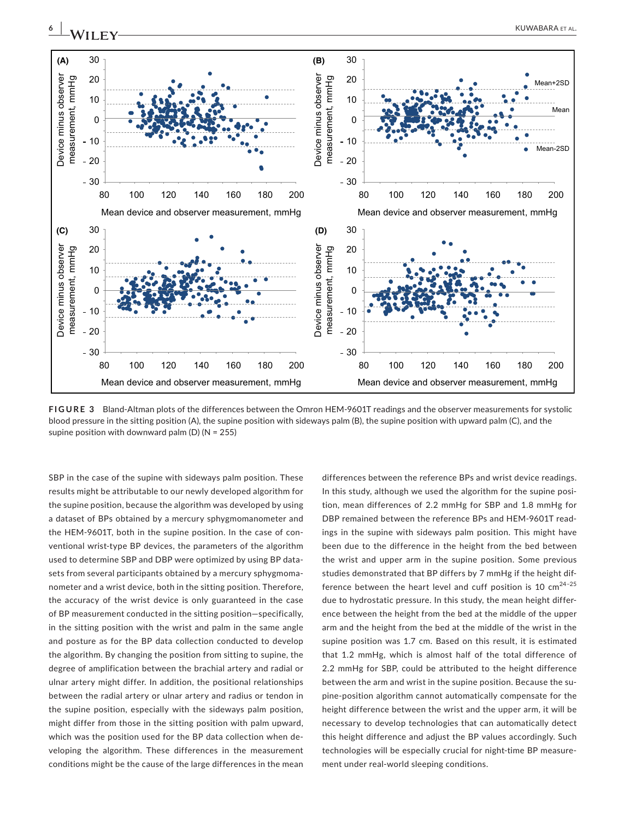

**FIGURE 3** Bland-Altman plots of the differences between the Omron HEM-9601T readings and the observer measurements for systolic blood pressure in the sitting position (A), the supine position with sideways palm (B), the supine position with upward palm (C), and the supine position with downward palm (D) (N = 255)

SBP in the case of the supine with sideways palm position. These results might be attributable to our newly developed algorithm for the supine position, because the algorithm was developed by using a dataset of BPs obtained by a mercury sphygmomanometer and the HEM-9601T, both in the supine position. In the case of conventional wrist-type BP devices, the parameters of the algorithm used to determine SBP and DBP were optimized by using BP datasets from several participants obtained by a mercury sphygmomanometer and a wrist device, both in the sitting position. Therefore, the accuracy of the wrist device is only guaranteed in the case of BP measurement conducted in the sitting position—specifically, in the sitting position with the wrist and palm in the same angle and posture as for the BP data collection conducted to develop the algorithm. By changing the position from sitting to supine, the degree of amplification between the brachial artery and radial or ulnar artery might differ. In addition, the positional relationships between the radial artery or ulnar artery and radius or tendon in the supine position, especially with the sideways palm position, might differ from those in the sitting position with palm upward, which was the position used for the BP data collection when developing the algorithm. These differences in the measurement conditions might be the cause of the large differences in the mean

differences between the reference BPs and wrist device readings. In this study, although we used the algorithm for the supine position, mean differences of 2.2 mmHg for SBP and 1.8 mmHg for DBP remained between the reference BPs and HEM-9601T readings in the supine with sideways palm position. This might have been due to the difference in the height from the bed between the wrist and upper arm in the supine position. Some previous studies demonstrated that BP differs by 7 mmHg if the height difference between the heart level and cuff position is 10  $\text{cm}^{24-25}$ due to hydrostatic pressure. In this study, the mean height difference between the height from the bed at the middle of the upper arm and the height from the bed at the middle of the wrist in the supine position was 1.7 cm. Based on this result, it is estimated that 1.2 mmHg, which is almost half of the total difference of 2.2 mmHg for SBP, could be attributed to the height difference between the arm and wrist in the supine position. Because the supine-position algorithm cannot automatically compensate for the height difference between the wrist and the upper arm, it will be necessary to develop technologies that can automatically detect this height difference and adjust the BP values accordingly. Such technologies will be especially crucial for night-time BP measurement under real-world sleeping conditions.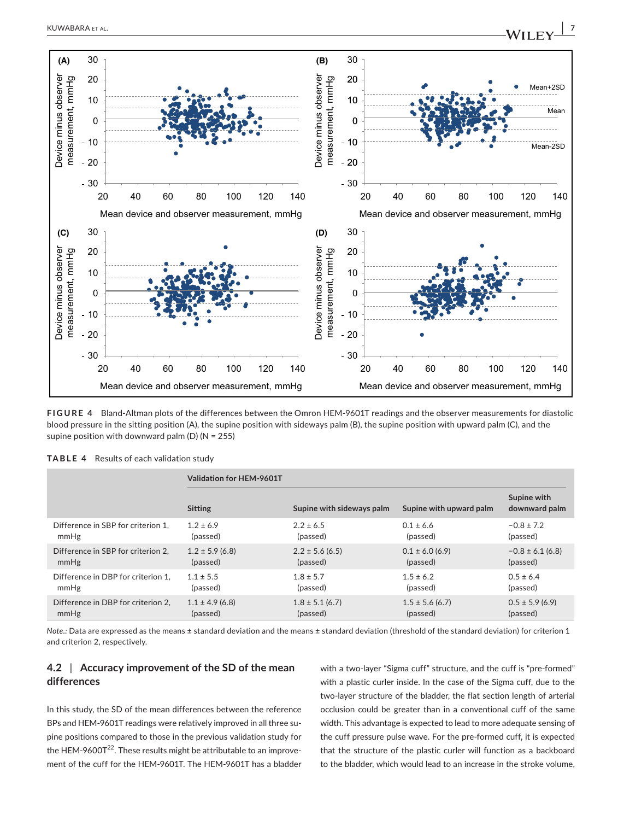

**FIGURE 4** Bland-Altman plots of the differences between the Omron HEM-9601T readings and the observer measurements for diastolic blood pressure in the sitting position (A), the supine position with sideways palm (B), the supine position with upward palm (C), and the supine position with downward palm (D) (N = 255)

|                                    | Validation for HEM-9601T |                           |                         |                              |  |
|------------------------------------|--------------------------|---------------------------|-------------------------|------------------------------|--|
|                                    | <b>Sitting</b>           | Supine with sideways palm | Supine with upward palm | Supine with<br>downward palm |  |
| Difference in SBP for criterion 1. | $1.2 \pm 6.9$            | $2.2 \pm 6.5$             | $0.1 \pm 6.6$           | $-0.8 \pm 7.2$               |  |
| mmHg                               | (passed)                 | (passed)                  | (passed)                | (passed)                     |  |
| Difference in SBP for criterion 2, | $1.2 \pm 5.9$ (6.8)      | $2.2 \pm 5.6$ (6.5)       | $0.1 \pm 6.0$ (6.9)     | $-0.8 \pm 6.1$ (6.8)         |  |
| mmHg                               | (passed)                 | (passed)                  | (passed)                | (passed)                     |  |
| Difference in DBP for criterion 1. | $1.1 \pm 5.5$            | $1.8 \pm 5.7$             | $1.5 \pm 6.2$           | $0.5 \pm 6.4$                |  |
| mmHg                               | (passed)                 | (passed)                  | (passed)                | (passed)                     |  |
| Difference in DBP for criterion 2. | $1.1 \pm 4.9$ (6.8)      | $1.8 \pm 5.1$ (6.7)       | $1.5 \pm 5.6$ (6.7)     | $0.5 \pm 5.9$ (6.9)          |  |
| mmHg                               | (passed)                 | (passed)                  | (passed)                | (passed)                     |  |

**TABLE 4** Results of each validation study

Mean device and observer measurement, mmHg

*Note.:* Data are expressed as the means ± standard deviation and the means ± standard deviation (threshold of the standard deviation) for criterion 1 and criterion 2, respectively.

# **4.2** | **Accuracy improvement of the SD of the mean differences**

In this study, the SD of the mean differences between the reference BPs and HEM-9601T readings were relatively improved in all three supine positions compared to those in the previous validation study for the HEM-9600 $T^{22}$ . These results might be attributable to an improvement of the cuff for the HEM-9601T. The HEM-9601T has a bladder with a two-layer "Sigma cuff" structure, and the cuff is "pre-formed" with a plastic curler inside. In the case of the Sigma cuff, due to the two-layer structure of the bladder, the flat section length of arterial occlusion could be greater than in a conventional cuff of the same width. This advantage is expected to lead to more adequate sensing of the cuff pressure pulse wave. For the pre-formed cuff, it is expected that the structure of the plastic curler will function as a backboard to the bladder, which would lead to an increase in the stroke volume,

Mean device and observer measurement, mmHg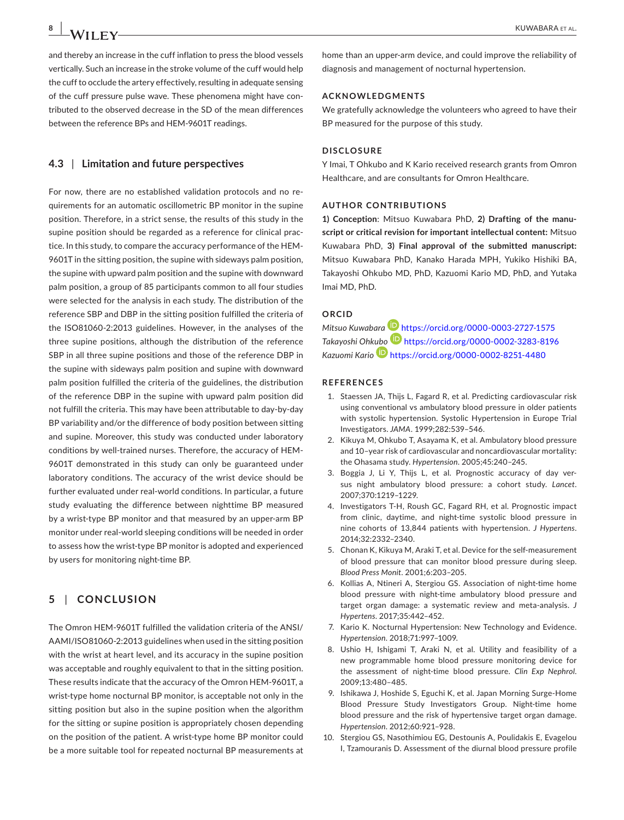and thereby an increase in the cuff inflation to press the blood vessels vertically. Such an increase in the stroke volume of the cuff would help the cuff to occlude the artery effectively, resulting in adequate sensing of the cuff pressure pulse wave. These phenomena might have contributed to the observed decrease in the SD of the mean differences between the reference BPs and HEM-9601T readings.

### **4.3** | **Limitation and future perspectives**

For now, there are no established validation protocols and no requirements for an automatic oscillometric BP monitor in the supine position. Therefore, in a strict sense, the results of this study in the supine position should be regarded as a reference for clinical practice. In this study, to compare the accuracy performance of the HEM-9601T in the sitting position, the supine with sideways palm position, the supine with upward palm position and the supine with downward palm position, a group of 85 participants common to all four studies were selected for the analysis in each study. The distribution of the reference SBP and DBP in the sitting position fulfilled the criteria of the ISO81060-2:2013 guidelines. However, in the analyses of the three supine positions, although the distribution of the reference SBP in all three supine positions and those of the reference DBP in the supine with sideways palm position and supine with downward palm position fulfilled the criteria of the guidelines, the distribution of the reference DBP in the supine with upward palm position did not fulfill the criteria. This may have been attributable to day-by-day BP variability and/or the difference of body position between sitting and supine. Moreover, this study was conducted under laboratory conditions by well-trained nurses. Therefore, the accuracy of HEM-9601T demonstrated in this study can only be guaranteed under laboratory conditions. The accuracy of the wrist device should be further evaluated under real-world conditions. In particular, a future study evaluating the difference between nighttime BP measured by a wrist-type BP monitor and that measured by an upper-arm BP monitor under real-world sleeping conditions will be needed in order to assess how the wrist-type BP monitor is adopted and experienced by users for monitoring night-time BP.

# **5** | **CONCLUSION**

The Omron HEM-9601T fulfilled the validation criteria of the ANSI/ AAMI/ISO81060-2:2013 guidelines when used in the sitting position with the wrist at heart level, and its accuracy in the supine position was acceptable and roughly equivalent to that in the sitting position. These results indicate that the accuracy of the Omron HEM-9601T, a wrist-type home nocturnal BP monitor, is acceptable not only in the sitting position but also in the supine position when the algorithm for the sitting or supine position is appropriately chosen depending on the position of the patient. A wrist-type home BP monitor could be a more suitable tool for repeated nocturnal BP measurements at home than an upper-arm device, and could improve the reliability of diagnosis and management of nocturnal hypertension.

### **ACKNOWLEDGMENTS**

We gratefully acknowledge the volunteers who agreed to have their BP measured for the purpose of this study.

#### **DISCLOSURE**

Y Imai, T Ohkubo and K Kario received research grants from Omron Healthcare, and are consultants for Omron Healthcare.

#### **AUTHOR CONTRIBUTIONS**

**1) Conception**: Mitsuo Kuwabara PhD, **2) Drafting of the manuscript or critical revision for important intellectual content:** Mitsuo Kuwabara PhD, **3) Final approval of the submitted manuscript:** Mitsuo Kuwabara PhD, Kanako Harada MPH, Yukiko Hishiki BA, Takayoshi Ohkubo MD, PhD, Kazuomi Kario MD, PhD, and Yutaka Imai MD, PhD.

## **ORCID**

*Mitsuo Kuwabara* **<https://orcid.org/0000-0003-2727-1575>** *Takayoshi Oh[kubo](https://orcid.org/0000-0002-8251-4480)* <https://orcid.org/0000-0002-3283-8196> *Kazuomi Kario* <https://orcid.org/0000-0002-8251-4480>

#### **REFERENCES**

- 1. Staessen JA, Thijs L, Fagard R, et al. Predicting cardiovascular risk using conventional vs ambulatory blood pressure in older patients with systolic hypertension. Systolic Hypertension in Europe Trial Investigators. *JAMA*. 1999;282:539–546.
- 2. Kikuya M, Ohkubo T, Asayama K, et al. Ambulatory blood pressure and 10–year risk of cardiovascular and noncardiovascular mortality: the Ohasama study. *Hypertension*. 2005;45:240–245.
- 3. Boggia J, Li Y, Thijs L, et al. Prognostic accuracy of day versus night ambulatory blood pressure: a cohort study. *Lancet*. 2007;370:1219–1229.
- 4. Investigators T-H, Roush GC, Fagard RH, et al. Prognostic impact from clinic, daytime, and night-time systolic blood pressure in nine cohorts of 13,844 patients with hypertension. *J Hypertens*. 2014;32:2332–2340.
- 5. Chonan K, Kikuya M, Araki T, et al. Device for the self-measurement of blood pressure that can monitor blood pressure during sleep. *Blood Press Monit*. 2001;6:203–205.
- 6. Kollias A, Ntineri A, Stergiou GS. Association of night-time home blood pressure with night-time ambulatory blood pressure and target organ damage: a systematic review and meta-analysis. *J Hypertens*. 2017;35:442–452.
- 7. Kario K. Nocturnal Hypertension: New Technology and Evidence. *Hypertension*. 2018;71:997–1009.
- 8. Ushio H, Ishigami T, Araki N, et al. Utility and feasibility of a new programmable home blood pressure monitoring device for the assessment of night-time blood pressure. *Clin Exp Nephrol*. 2009;13:480–485.
- 9. Ishikawa J, Hoshide S, Eguchi K, et al. Japan Morning Surge-Home Blood Pressure Study Investigators Group. Night-time home blood pressure and the risk of hypertensive target organ damage. *Hypertension*. 2012;60:921–928.
- 10. Stergiou GS, Nasothimiou EG, Destounis A, Poulidakis E, Evagelou I, Tzamouranis D. Assessment of the diurnal blood pressure profile